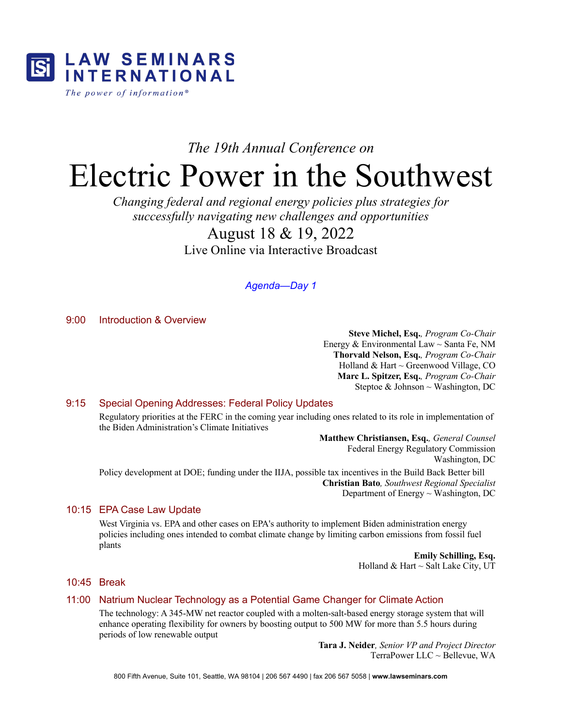

# *The 19th Annual Conference on*

# Electric Power in the Southwest

*Changing federal and regional energy policies plus strategies for successfully navigating new challenges and opportunities*

# August 18 & 19, 2022 Live Online via Interactive Broadcast

# *Agenda—Day 1*

9:00 Introduction & Overview

**Steve Michel, Esq.***, Program Co-Chair* Energy & Environmental Law  $\sim$  Santa Fe, NM **Thorvald Nelson, Esq.***, Program Co-Chair* Holland & Hart ~ Greenwood Village, CO **Marc L. Spitzer, Esq.***, Program Co-Chair* Steptoe & Johnson  $\sim$  Washington, DC

# 9:15 Special Opening Addresses: Federal Policy Updates

Regulatory priorities at the FERC in the coming year including ones related to its role in implementation of the Biden Administration's Climate Initiatives

> **Matthew Christiansen, Esq.***, General Counsel* Federal Energy Regulatory Commission Washington, DC

Policy development at DOE; funding under the IIJA, possible tax incentives in the Build Back Better bill **Christian Bato***, Southwest Regional Specialist* Department of Energy ~ Washington, DC

## 10:15 EPA Case Law Update

West Virginia vs. EPA and other cases on EPA's authority to implement Biden administration energy policies including ones intended to combat climate change by limiting carbon emissions from fossil fuel plants

> **Emily Schilling, Esq.** Holland & Hart  $\sim$  Salt Lake City, UT

## 10:45 Break

## 11:00 Natrium Nuclear Technology as a Potential Game Changer for Climate Action

The technology: A 345-MW net reactor coupled with a molten-salt-based energy storage system that will enhance operating flexibility for owners by boosting output to 500 MW for more than 5.5 hours during periods of low renewable output

> **Tara J. Neider***, Senior VP and Project Director* TerraPower LLC ~ Bellevue, WA

800 Fifth Avenue, Suite 101, Seattle, WA 98104 | 206 567 4490 | fax 206 567 5058 | **www.lawseminars.com**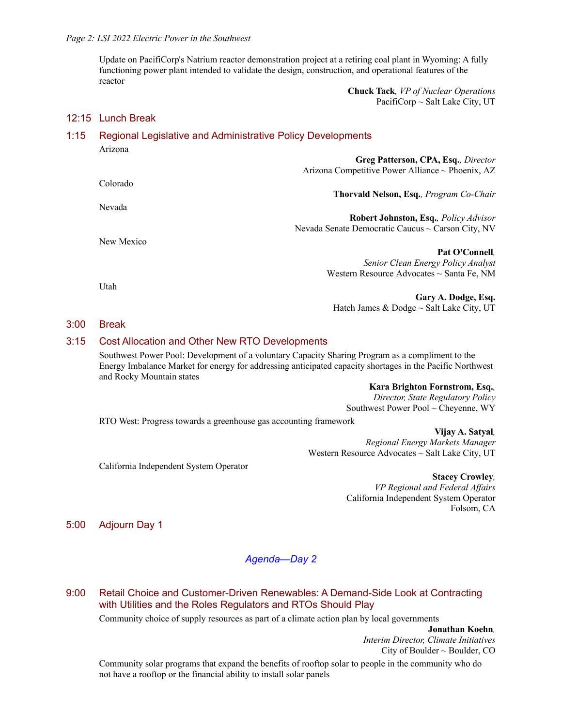Update on PacifiCorp's Natrium reactor demonstration project at a retiring coal plant in Wyoming: A fully functioning power plant intended to validate the design, construction, and operational features of the reactor

> **Chuck Tack***, VP of Nuclear Operations* PacifiCorp ~ Salt Lake City, UT

# 12:15 Lunch Break

| 1:15 |            | <b>Regional Legislative and Administrative Policy Developments</b>                      |
|------|------------|-----------------------------------------------------------------------------------------|
|      | Arizona    | Greg Patterson, CPA, Esq., Director<br>Arizona Competitive Power Alliance ~ Phoenix, AZ |
|      | Colorado   |                                                                                         |
|      |            | <b>Thorvald Nelson, Esq., Program Co-Chair</b>                                          |
|      | Nevada     |                                                                                         |
|      |            | <b>Robert Johnston, Esq., Policy Advisor</b>                                            |
|      |            | Nevada Senate Democratic Caucus $\sim$ Carson City, NV                                  |
|      | New Mexico |                                                                                         |
|      |            | Pat O'Connell.                                                                          |
|      |            | Senior Clean Energy Policy Analyst                                                      |
|      |            | Western Resource Advocates $\sim$ Santa Fe, NM                                          |
|      | Utah       |                                                                                         |
|      |            | Gary A. Dodge, Esq.                                                                     |
|      |            | Hatch James & Dodge $\sim$ Salt Lake City, UT                                           |

#### 3:00 Break

#### 3:15 Cost Allocation and Other New RTO Developments

Southwest Power Pool: Development of a voluntary Capacity Sharing Program as a compliment to the Energy Imbalance Market for energy for addressing anticipated capacity shortages in the Pacific Northwest and Rocky Mountain states

> **Kara Brighton Fornstrom, Esq.***, Director, State Regulatory Policy* Southwest Power Pool ~ Cheyenne, WY

RTO West: Progress towards a greenhouse gas accounting framework

**Vijay A. Satyal***, Regional Energy Markets Manager* Western Resource Advocates ~ Salt Lake City, UT

California Independent System Operator

**Stacey Crowley***, VP Regional and Federal Affairs* California Independent System Operator Folsom, CA

5:00 Adjourn Day 1

## *Agenda—Day 2*

# 9:00 Retail Choice and Customer-Driven Renewables: A Demand-Side Look at Contracting with Utilities and the Roles Regulators and RTOs Should Play

Community choice of supply resources as part of a climate action plan by local governments

**Jonathan Koehn***, Interim Director, Climate Initiatives* City of Boulder  $\sim$  Boulder, CO

Community solar programs that expand the benefits of rooftop solar to people in the community who do not have a rooftop or the financial ability to install solar panels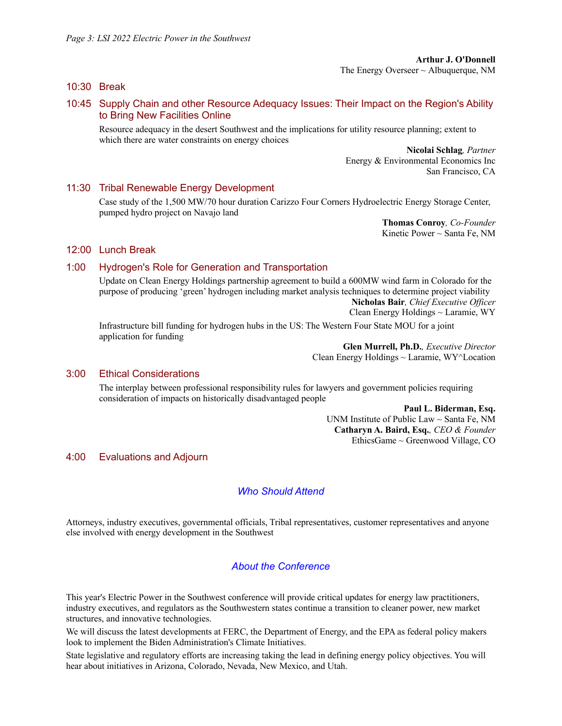#### 10:30 Break

#### 10:45 Supply Chain and other Resource Adequacy Issues: Their Impact on the Region's Ability to Bring New Facilities Online

Resource adequacy in the desert Southwest and the implications for utility resource planning; extent to which there are water constraints on energy choices

> **Nicolai Schlag***, Partner* Energy & Environmental Economics Inc San Francisco, CA

#### 11:30 Tribal Renewable Energy Development

Case study of the 1,500 MW/70 hour duration Carizzo Four Corners Hydroelectric Energy Storage Center, pumped hydro project on Navajo land

> **Thomas Conroy***, Co-Founder* Kinetic Power  $\sim$  Santa Fe, NM

#### 12:00 Lunch Break

#### 1:00 Hydrogen's Role for Generation and Transportation

Update on Clean Energy Holdings partnership agreement to build a 600MW wind farm in Colorado for the purpose of producing 'green' hydrogen including market analysis techniques to determine project viability **Nicholas Bair***, Chief Executive Officer*

Clean Energy Holdings ~ Laramie, WY

Infrastructure bill funding for hydrogen hubs in the US: The Western Four State MOU for a joint application for funding

**Glen Murrell, Ph.D.***, Executive Director* Clean Energy Holdings ~ Laramie, WY^Location

#### 3:00 Ethical Considerations

The interplay between professional responsibility rules for lawyers and government policies requiring consideration of impacts on historically disadvantaged people

> **Paul L. Biderman, Esq.** UNM Institute of Public Law ~ Santa Fe, NM **Catharyn A. Baird, Esq.***, CEO & Founder* EthicsGame ~ Greenwood Village, CO

#### 4:00 Evaluations and Adjourn

# *Who Should Attend*

Attorneys, industry executives, governmental officials, Tribal representatives, customer representatives and anyone else involved with energy development in the Southwest

#### *About the Conference*

This year's Electric Power in the Southwest conference will provide critical updates for energy law practitioners, industry executives, and regulators as the Southwestern states continue a transition to cleaner power, new market structures, and innovative technologies.

We will discuss the latest developments at FERC, the Department of Energy, and the EPA as federal policy makers look to implement the Biden Administration's Climate Initiatives.

State legislative and regulatory efforts are increasing taking the lead in defining energy policy objectives. You will hear about initiatives in Arizona, Colorado, Nevada, New Mexico, and Utah.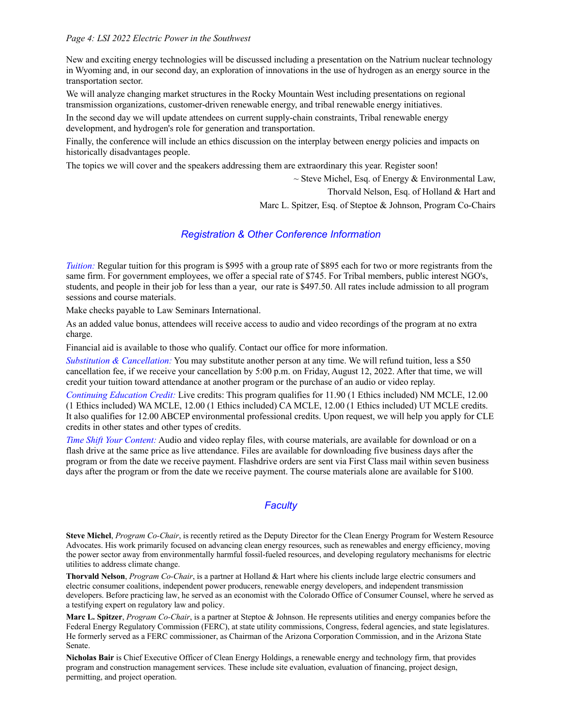#### *Page 4: LSI 2022 Electric Power in the Southwest*

New and exciting energy technologies will be discussed including a presentation on the Natrium nuclear technology in Wyoming and, in our second day, an exploration of innovations in the use of hydrogen as an energy source in the transportation sector.

We will analyze changing market structures in the Rocky Mountain West including presentations on regional transmission organizations, customer-driven renewable energy, and tribal renewable energy initiatives.

In the second day we will update attendees on current supply-chain constraints, Tribal renewable energy development, and hydrogen's role for generation and transportation.

Finally, the conference will include an ethics discussion on the interplay between energy policies and impacts on historically disadvantages people.

The topics we will cover and the speakers addressing them are extraordinary this year. Register soon!

 $\sim$  Steve Michel, Esq. of Energy & Environmental Law,

Thorvald Nelson, Esq. of Holland & Hart and

Marc L. Spitzer, Esq. of Steptoe & Johnson, Program Co-Chairs

# *Registration & Other Conference Information*

*Tuition:* Regular tuition for this program is \$995 with a group rate of \$895 each for two or more registrants from the same firm. For government employees, we offer a special rate of \$745. For Tribal members, public interest NGO's, students, and people in their job for less than a year, our rate is \$497.50. All rates include admission to all program sessions and course materials.

Make checks payable to Law Seminars International.

As an added value bonus, attendees will receive access to audio and video recordings of the program at no extra charge.

Financial aid is available to those who qualify. Contact our office for more information.

*Substitution & Cancellation:* You may substitute another person at any time. We will refund tuition, less a \$50 cancellation fee, if we receive your cancellation by 5:00 p.m. on Friday, August 12, 2022. After that time, we will credit your tuition toward attendance at another program or the purchase of an audio or video replay.

*Continuing Education Credit:* Live credits: This program qualifies for 11.90 (1 Ethics included) NM MCLE, 12.00 (1 Ethics included) WA MCLE, 12.00 (1 Ethics included) CA MCLE, 12.00 (1 Ethics included) UT MCLE credits. It also qualifies for 12.00 ABCEP environmental professional credits. Upon request, we will help you apply for CLE credits in other states and other types of credits.

*Time Shift Your Content:* Audio and video replay files, with course materials, are available for download or on a flash drive at the same price as live attendance. Files are available for downloading five business days after the program or from the date we receive payment. Flashdrive orders are sent via First Class mail within seven business days after the program or from the date we receive payment. The course materials alone are available for \$100.

# *Faculty*

**Steve Michel**, *Program Co-Chair*, is recently retired as the Deputy Director for the Clean Energy Program for Western Resource Advocates. His work primarily focused on advancing clean energy resources, such as renewables and energy efficiency, moving the power sector away from environmentally harmful fossil-fueled resources, and developing regulatory mechanisms for electric utilities to address climate change.

**Thorvald Nelson**, *Program Co-Chair*, is a partner at Holland & Hart where his clients include large electric consumers and electric consumer coalitions, independent power producers, renewable energy developers, and independent transmission developers. Before practicing law, he served as an economist with the Colorado Office of Consumer Counsel, where he served as a testifying expert on regulatory law and policy.

**Marc L. Spitzer**, *Program Co-Chair*, is a partner at Steptoe & Johnson. He represents utilities and energy companies before the Federal Energy Regulatory Commission (FERC), at state utility commissions, Congress, federal agencies, and state legislatures. He formerly served as a FERC commissioner, as Chairman of the Arizona Corporation Commission, and in the Arizona State Senate.

**Nicholas Bair** is Chief Executive Officer of Clean Energy Holdings, a renewable energy and technology firm, that provides program and construction management services. These include site evaluation, evaluation of financing, project design, permitting, and project operation.